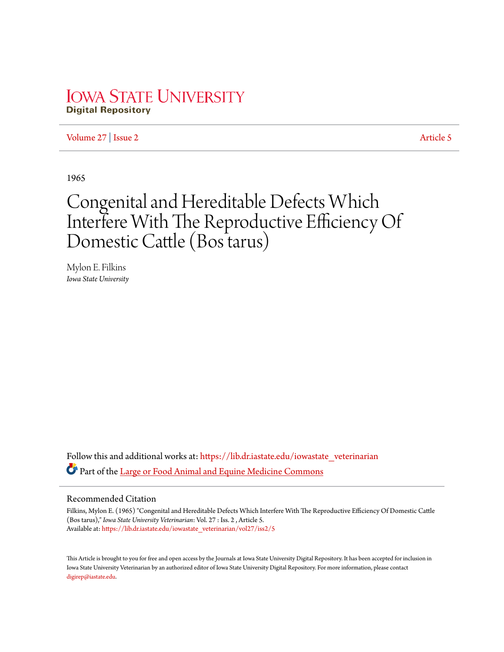# **IOWA STATE UNIVERSITY Digital Repository**

[Volume 27](https://lib.dr.iastate.edu/iowastate_veterinarian/vol27?utm_source=lib.dr.iastate.edu%2Fiowastate_veterinarian%2Fvol27%2Fiss2%2F5&utm_medium=PDF&utm_campaign=PDFCoverPages) | [Issue 2](https://lib.dr.iastate.edu/iowastate_veterinarian/vol27/iss2?utm_source=lib.dr.iastate.edu%2Fiowastate_veterinarian%2Fvol27%2Fiss2%2F5&utm_medium=PDF&utm_campaign=PDFCoverPages) [Article 5](https://lib.dr.iastate.edu/iowastate_veterinarian/vol27/iss2/5?utm_source=lib.dr.iastate.edu%2Fiowastate_veterinarian%2Fvol27%2Fiss2%2F5&utm_medium=PDF&utm_campaign=PDFCoverPages)

1965

# Congenital and Hereditable Defects Which Interfere With The Reproductive Efficiency Of Domestic Cattle (Bos tarus)

Mylon E. Filkins *Iowa State University*

Follow this and additional works at: [https://lib.dr.iastate.edu/iowastate\\_veterinarian](https://lib.dr.iastate.edu/iowastate_veterinarian?utm_source=lib.dr.iastate.edu%2Fiowastate_veterinarian%2Fvol27%2Fiss2%2F5&utm_medium=PDF&utm_campaign=PDFCoverPages) Part of the [Large or Food Animal and Equine Medicine Commons](http://network.bepress.com/hgg/discipline/766?utm_source=lib.dr.iastate.edu%2Fiowastate_veterinarian%2Fvol27%2Fiss2%2F5&utm_medium=PDF&utm_campaign=PDFCoverPages)

## Recommended Citation

Filkins, Mylon E. (1965) "Congenital and Hereditable Defects Which Interfere With The Reproductive Efficiency Of Domestic Cattle (Bos tarus)," *Iowa State University Veterinarian*: Vol. 27 : Iss. 2 , Article 5. Available at: [https://lib.dr.iastate.edu/iowastate\\_veterinarian/vol27/iss2/5](https://lib.dr.iastate.edu/iowastate_veterinarian/vol27/iss2/5?utm_source=lib.dr.iastate.edu%2Fiowastate_veterinarian%2Fvol27%2Fiss2%2F5&utm_medium=PDF&utm_campaign=PDFCoverPages)

This Article is brought to you for free and open access by the Journals at Iowa State University Digital Repository. It has been accepted for inclusion in Iowa State University Veterinarian by an authorized editor of Iowa State University Digital Repository. For more information, please contact [digirep@iastate.edu](mailto:digirep@iastate.edu).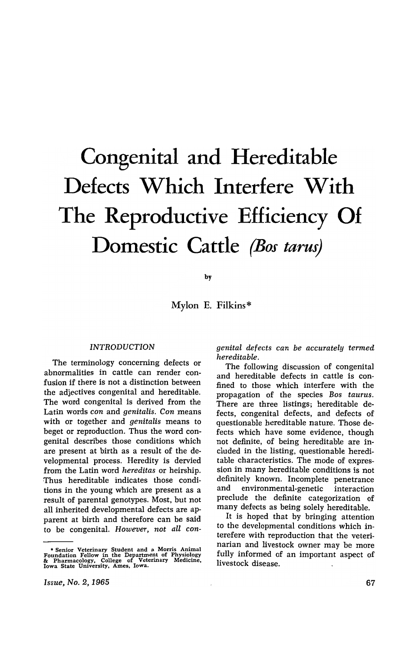# **Congenital and Hereditable Defects Which Interfere With The Reproductive Efficiency Of Domestic Cattle** *(Bos tarus)*

by

Mylon E. Filkins\*

#### *INTRODUCTION*

The terminology concerning defects or abnormalities in cattle can render confusion if there is not a distinction between the adjectives congenital and hereditable. The word congenital is derived from the Latin words *con* and *genitalis. Con* means with or together and *genitalis* means to beget or reproduction. Thus the word congenital describes those conditions which are present at birth as a result of the developmental process. Heredity is dervied from the Latin word *hereditas* or heirship. Thus hereditable indicates those conditions in the young which are present as a result of parental genotypes. Most, but not all inherited developmental defects are apparent at birth and therefore can be said to be congenital. *However, not aU con-* *genital defects can be accurately termed hereditable.* 

The following discussion of congenital and hereditable defects in cattle is confined to those which interfere with the propagation of the species *Bos taurus.*  There are three listings; hereditable defects, congenital defects, and defects of questionable hereditable nature. Those defects which have some evidence, though not definite, of being hereditable are included in the listing, questionable hereditable characteristics. The mode of expression in many hereditable conditions is not definitely known. Incomplete penetrance and environmental-genetic interaction preclude the definite categorization of many defects as being solely hereditable.

It is hoped that by bringing attention to the developmental conditions which interefere with reproduction that the veterinarian and livestock owner may be more fully informed of an important aspect of livestock disease.

<sup>•</sup> Senior Veterinary Student and a Morris Animal Foundation Fellow in the Department of Physiology &: Pharmacology, College of Veterinary Medicine, Iowa State University, Ames, Iowa.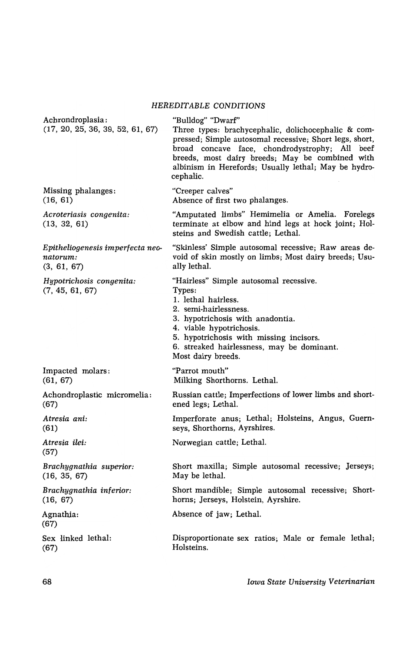|                                                      | HEREDH ADEE CONDITIONS                                                                                                                                                                                                                                                                                        |
|------------------------------------------------------|---------------------------------------------------------------------------------------------------------------------------------------------------------------------------------------------------------------------------------------------------------------------------------------------------------------|
| Achrondroplasia:<br>(17, 20, 25, 36, 39, 52, 61, 67) | "Bulldog" "Dwarf"<br>Three types: brachycephalic, dolichocephalic & com-<br>pressed; Simple autosomal recessive; Short legs, short,<br>broad concave face, chondrodystrophy; All beef<br>breeds, most dairy breeds; May be combined with<br>albinism in Herefords; Usually lethal; May be hydro-<br>cephalic. |
| Missing phalanges:                                   | "Creeper calves"                                                                                                                                                                                                                                                                                              |
| (16, 61)                                             | Absence of first two phalanges.                                                                                                                                                                                                                                                                               |
| Acroteriasis congenita:<br>(13, 32, 61)              | "Amputated limbs" Hemimelia or Amelia. Forelegs<br>terminate at elbow and hind legs at hock joint; Hol-<br>steins and Swedish cattle; Lethal.                                                                                                                                                                 |
| Epitheliogenesis imperfecta neo-                     | "Skinless' Simple autosomal recessive; Raw areas de-                                                                                                                                                                                                                                                          |
| natorum:                                             | void of skin mostly on limbs; Most dairy breeds; Usu-                                                                                                                                                                                                                                                         |
| (3, 61, 67)                                          | ally lethal.                                                                                                                                                                                                                                                                                                  |
| Hypotrichosis congenita:<br>(7, 45, 61, 67)          | "Hairless" Simple autosomal recessive.<br>Types:<br>1. lethal hairless.<br>2. semi-hairlessness.<br>3. hypotrichosis with anadontia.<br>4. viable hypotrichosis.<br>5. hypotrichosis with missing incisors.<br>6. streaked hairlessness, may be dominant.<br>Most dairy breeds.                               |
| Impacted molars:                                     | "Parrot mouth"                                                                                                                                                                                                                                                                                                |
| (61, 67)                                             | Milking Shorthorns. Lethal.                                                                                                                                                                                                                                                                                   |
| Achondroplastic micromelia:                          | Russian cattle; Imperfections of lower limbs and short-                                                                                                                                                                                                                                                       |
| (67)                                                 | ened legs; Lethal.                                                                                                                                                                                                                                                                                            |
| Atresia ani:                                         | Imperforate anus; Lethal; Holsteins, Angus, Guern-                                                                                                                                                                                                                                                            |
| (61)                                                 | seys, Shorthorns, Ayrshires.                                                                                                                                                                                                                                                                                  |
| Atresia ilei:<br>(57)                                | Norwegian cattle; Lethal.                                                                                                                                                                                                                                                                                     |
| Brachygnathia superior:                              | Short maxilla; Simple autosomal recessive; Jerseys;                                                                                                                                                                                                                                                           |
| (16, 35, 67)                                         | May be lethal.                                                                                                                                                                                                                                                                                                |
| Brachygnathia inferior:                              | Short mandible; Simple autosomal recessive; Short-                                                                                                                                                                                                                                                            |
| (16, 67)                                             | horns; Jerseys, Holstein, Ayrshire.                                                                                                                                                                                                                                                                           |
| Agnathia:<br>(67)                                    | Absence of jaw; Lethal.                                                                                                                                                                                                                                                                                       |
| Sex linked lethal:                                   | Disproportionate sex ratios; Male or female lethal;                                                                                                                                                                                                                                                           |
| (67)                                                 | Holsteins.                                                                                                                                                                                                                                                                                                    |
|                                                      |                                                                                                                                                                                                                                                                                                               |

# *HEREDITABLE CONDITIONS*

*Iowa State University Veterinarian*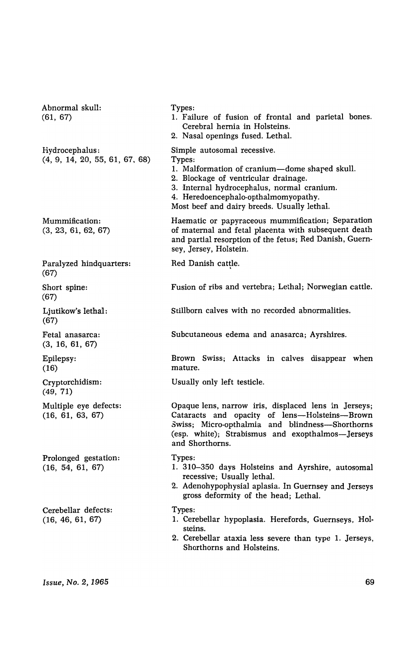Abnormal skull: (61, 67) Hydrocephalus: (4, 9, 14, 20, 55, 61, 67, 68) Mummification: (3, 23, 61, 62, 67) Paralyzed hindquarters: (67) Short spine: (67) Ljutikow's lethal: (67) Fetal anasarca: (3, 16, 61, 67) Epilepsy: (16) Cryptorchidism: (49, 71) Multiple eye defects: (16, 61, 63, 67) Prolonged gestation: (16, 54, 61, 67) Cerebellar defects: (16, 46, 61, 67) Types: 1. Failure of fusion of frontal and parietal bones. Cerebral hernia in Holsteins. 2. Nasal openings fused. Lethal. Simple autosomal recessive. Types: 1. Malformation of cranium-dome shaped skull. 2. Blockage of ventricular drainage. 3. 'Internal hydrocephalus, normal cranium. 4. Heredoencephalo-opthalmomyopathy. Most beef and dairy breeds. Usually lethal. Haematic or papyraceous mummification; Separation of maternal and fetal placenta with subsequent death and partial resorption of the fetus; Red Danish, Guernsey, Jersey, Holstein. Red Danish cattle. Fusion of ribs and vertebra; Lethal; Norwegian cattle. Stillborn calves with no recorded abnormalities. Subcutaneous edema and anasarca; Ayrshires. Brown Swiss; Attacks in calves disappear when mature. Usually only left testicle. Opaque lens, narrow iris, displaced lens in Jerseys; Cataracts and opacity of lens-Holsteins-Brown Swiss; Micro-opthalmia and blindness-Shorthorns (esp. white); Strabismus and exopthalmos-Jerseys and Shorthorns. Types: 1. 310-350 days Holsteins and Ayrshire, autosomal recessive; Usually lethal. 2. Adenohypophysial aplasia. In Guernsey and Jerseys gross deformity of the head; Lethal. Types: 1. Cerebellar hypoplasia. Herefords, Guernseys, Holsteins. 2. Cerebellar ataxia less severe than type 1. Jerseys, Shorthorns and Holsteins.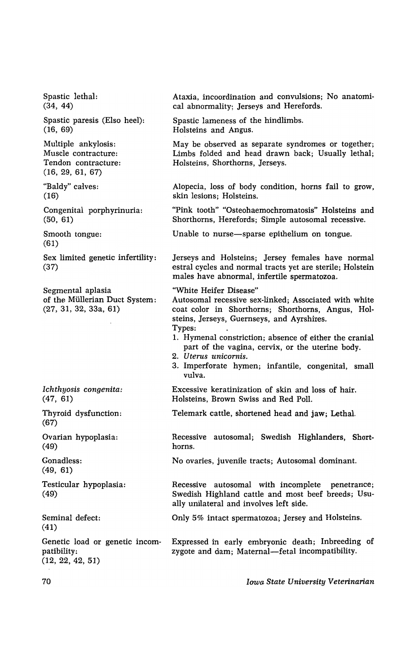Spastic lethal: (34, 44) Spastic paresis (Elso heel): (16, 69) Multiple ankylosis: Muscle contracture: Tendon contracture: (16, 29, 61, 67) "Baldy" calves: (16) Congenital porphyrinuria: (50, 61) Smooth tongue: (61) Sex limited genetic infertility: (37) Segmental aplasia of the Mullerian Duct System: (27, 31, 32, 33a, 61) *Ichthyosis congenita:*  (47, 61) Thyroid dysfunction: (67) Ovarian hypoplasia: (49) Gonadless: (49, 61) Testicular hypoplasia: (49) Seminal defect: (41) Genetic load or genetic incompatibility: (12, 22, 42, 51) Ataxia, incoordination and convulsions; No anatomical abnormality; Jerseys and Herefords. Spastic lameness of the hindlimbs. Holsteins and Angus. May be observed as separate syndromes or together; Limbs folded and head drawn back; Usually lethal; Holsteins, Shorthorns, Jerseys. Alopecia, loss of body condition, horns fail to grow, skin lesions; Holsteins. "Pink tooth" "Osteohaemochromatosis" Holsteins and Shorthorns. Herefords; Simple autosomal recessive. Unable to nurse-sparse epithelium on tongue. Jerseys and Holsteins; Jersey females have normal estral cycles and normal tracts yet are sterile; Holstein males have abnormal. infertile spermatozoa. "White Heifer Disease" Autosomal recessive sex-linked: Associated with white coat color in Shorthorns; Shorthorns, Angus, Holsteins, Jerseys, Guernseys, and Ayrshires. Types: 1. Hymenal constriction; absence of either the cranial part of the vagina, cervix, or the uterine body. *2. Uterus unicornis.*  3. Imperforate hymen: infantile, congenital, small vulva. Excessive keratinization of skin and loss of hair. Holsteins, Brown Swiss and Red Poll. Telemark cattle. shortened head and jaw; Lethal. Recessive autosomal; Swedish Highlanders, Shorthorns. No ovaries, juvenile tracts; Autosomal dominant. Recessive autosomal with incomplete penetrance; Swedish Highland cattle and most beef breeds; Usually unilateral and involves left side. Only 5% intact spermatozoa; Jersey and Holsteins. Expressed in early embryonic death; Inbreeding of zygote and dam; Maternal-fetal incompatibility.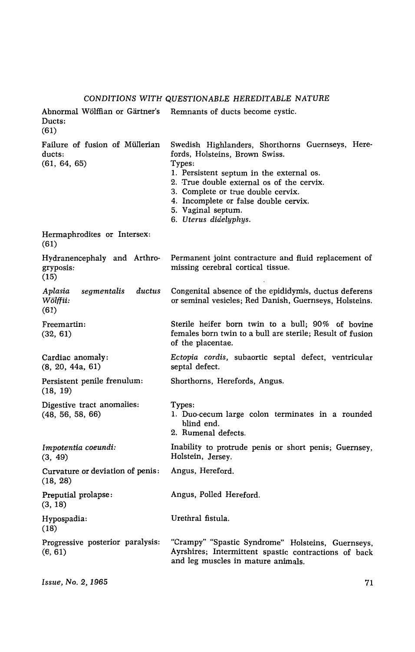# *CONDITIONS WITH QUESTIONABLE HEREDITABLE NATURE*

| Ducts:<br>(61)                                           | Abnormal Wölffian or Gärtner's Remnants of ducts become cystic.                                                                                                                                                                                                                                                     |
|----------------------------------------------------------|---------------------------------------------------------------------------------------------------------------------------------------------------------------------------------------------------------------------------------------------------------------------------------------------------------------------|
| Failure of fusion of Müllerian<br>ducts:<br>(61, 64, 65) | Swedish Highlanders, Shorthorns Guernseys, Here-<br>fords, Holsteins, Brown Swiss.<br>Types:<br>1. Persistent septum in the external os.<br>2. True double external os of the cervix.<br>3. Complete or true double cervix.<br>4. Incomplete or false double cervix.<br>5. Vaginal septum.<br>6. Uterus didelyphys. |
| Hermaphrodites or Intersex:<br>(61)                      |                                                                                                                                                                                                                                                                                                                     |
| Hydranencephaly and Arthro-<br>gryposis:<br>(15)         | Permanent joint contracture and fluid replacement of<br>missing cerebral cortical tissue.                                                                                                                                                                                                                           |
| segmentalis<br>ductus<br>Aplasia<br>Wölffii:<br>(61)     | Congenital absence of the epididymis, ductus deferens<br>or seminal vesicles; Red Danish, Guernseys, Holsteins.                                                                                                                                                                                                     |
| Freemartin:<br>(32, 61)                                  | Sterile heifer born twin to a bull; 90% of bovine<br>females born twin to a bull are sterile; Result of fusion<br>of the placentae.                                                                                                                                                                                 |
| Cardiac anomaly:<br>(8, 20, 44a, 61)                     | Ectopia cordis, subaortic septal defect, ventricular<br>septal defect.                                                                                                                                                                                                                                              |
| Persistent penile frenulum:<br>(18, 19)                  | Shorthorns, Herefords, Angus.                                                                                                                                                                                                                                                                                       |
| Digestive tract anomalies:<br>(48, 56, 58, 66)           | Types:<br>1. Duo-cecum large colon terminates in a rounded<br>blind end.<br>2. Rumenal defects.                                                                                                                                                                                                                     |
| Impotentia coeundi:<br>(3, 49)                           | Inability to protrude penis or short penis; Guernsey,<br>Holstein, Jersey.                                                                                                                                                                                                                                          |
| Curvature or deviation of penis:<br>(18, 28)             | Angus, Hereford.                                                                                                                                                                                                                                                                                                    |
| Preputial prolapse:<br>(3, 18)                           | Angus, Polled Hereford.                                                                                                                                                                                                                                                                                             |
| Hypospadia:<br>(18)                                      | Urethral fistula.                                                                                                                                                                                                                                                                                                   |
| Progressive posterior paralysis:<br>(6, 61)              | "Crampy" "Spastic Syndrome" Holsteins, Guernseys,<br>Ayrshires; Intermittent spastic contractions of back<br>and leg muscles in mature animals.                                                                                                                                                                     |

*Issue, No.2, 1965*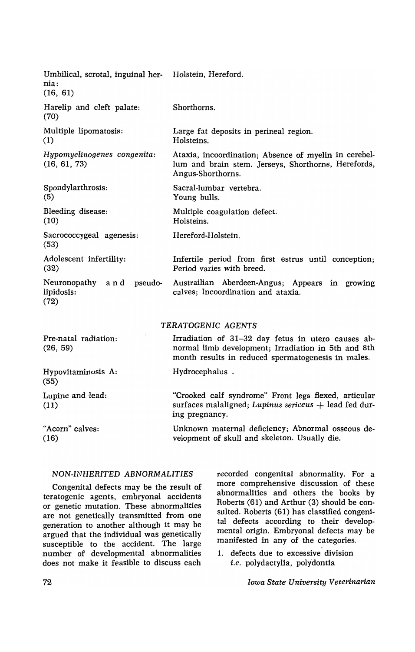| Umbilical, scrotal, inguinal her- Holstein, Hereford.<br>nia:<br>(16, 61) |                                                                                                                                                                 |
|---------------------------------------------------------------------------|-----------------------------------------------------------------------------------------------------------------------------------------------------------------|
| Harelip and cleft palate:<br>(70)                                         | Shorthorns.                                                                                                                                                     |
| Multiple lipomatosis:<br>(1)                                              | Large fat deposits in perineal region.<br>Holsteins.                                                                                                            |
| Hypomyelinogenes congenita:<br>(16, 61, 73)                               | Ataxia, incoordination; Absence of myelin in cerebel-<br>lum and brain stem. Jerseys, Shorthorns, Herefords,<br>Angus-Shorthorns.                               |
| Spondylarthrosis:<br>(5)                                                  | Sacral-lumbar vertebra.<br>Young bulls.                                                                                                                         |
| Bleeding disease:<br>(10)                                                 | Multiple coagulation defect.<br>Holsteins.                                                                                                                      |
| Sacrococcygeal agenesis:<br>(53)                                          | Hereford-Holstein.                                                                                                                                              |
| Adolescent infertility:<br>(32)                                           | Infertile period from first estrus until conception;<br>Period varies with breed.                                                                               |
| Neuronopathy<br>and pseudo-<br>lipidosis:<br>(72)                         | Austrailian Aberdeen-Angus; Appears in growing<br>calves; Incoordination and ataxia.                                                                            |
|                                                                           | TERATOGENIC AGENTS                                                                                                                                              |
| Pre-natal radiation:<br>(26, 59)                                          | Irradiation of 31-32 day fetus in utero causes ab-<br>normal limb development; Irradiation in 5th and 8th<br>month results in reduced spermatogenesis in males. |
| Hypovitaminosis A:<br>(55)                                                | Hydrocephalus.                                                                                                                                                  |
| Lupine and lead:<br>(11)                                                  | "Crooked calf syndrome" Front legs flexed, articular<br>surfaces malaligned; Lupinus sericeus + lead fed dur-<br>ing pregnancy.                                 |
| "Acorn" calves:<br>(16)                                                   | Unknown maternal deficiency; Abnormal osseous de-<br>velopment of skull and skeleton. Usually die.                                                              |

## *NON·INHERITED ABNORMALITIES*

Congenital defects may be the result of teratogenic agents, embryonal accidents or genetic mutation. These abnormalities are not genetically transmitted from one generation to another although it may be argued that the individual was genetically susceptible to the accident. The large number of developmental abnormalities does not make it feasible to discuss each

recorded congenital abnormality. For a more comprehensive discussion of these abnormalities and others the books by Roberts (61) and Arthur (3) should be consulted. Roberts (61) has classified congenital defects according to their developmental origin. Embryonal defects may be manifested in any of the categories.

1. defects due to excessive division *i.e.* polydactylia, polydontia

*Iowa State University Veterinarian*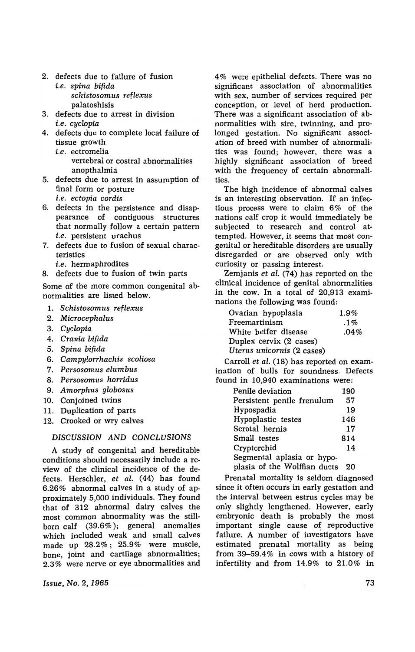- 2. defects due to failure of fusion *i.e. spina bifida schistosomus reflexus*  palatoshisis
- 3. defects due to arrest in division *i.e. cyclopia*
- 4. defects due to complete local failure of tissue growth
	- *i.e.* ectromelia vertebral or costral abnormalities anopthalmia
- 5. defects due to arrest in assumption of final form or posture *i.e. ectopia cordis*
- 6. defects in the persistence and disappearance of contiguous structures that normally follow a certain pattern *i.e.* persistent urachus
- 7. defects due to fusion of sexual characteristics
	- *i.e.* hermaphrodites
- 8. defects due to fusion of twin parts

Some of the more common congenital abnormalities are listed below.

- 1. *Schistosomus reflexus*
- *2. Microcephalus*
- *3. Cyclopia*
- *4. Crania bifida*
- *5. Spina bifida*
- 6. *Campylorrhachis scoliosa*
- *7. Persosomus elumbus*
- 8. *Persosomus horridus*
- 9. *Amorphus gIobosus*
- 10. Conjoined twins
- 11. Duplication of parts
- 12. Crooked or wry calves

#### *DISCUSSION AND CONCLUSIONS*

A study of congenital and hereditable conditions should necessarily include a review of the clinical incidence of the defects. Herschler, *et aI.* (44) has found 6.26% abnormal calves in a study of approximately 5,000 individuals. They found that of 312 abnormal dairy calves the most common abnormality was the stillborn calf (39.6% ); general anomalies which included weak and small calves made up 28.2%; 25.9% were muscle, bone, joint and cartilage abnormalities; 2.3% were nerve or eye abnormalities and

*Issue, No.2, 1965* 

4% were epithelial defects. There was no significant association of abnormalities with sex, number of services required per conception, or level of herd production. There was a significant association of abnormalities with sire, twinning, and prolonged gestation. No significant association of breed with number of abnormalities was found; however, there was a highly significant association of breed with the frequency of certain abnormalities.

The high incidence of abnormal calves is an interesting observation. If an infectious process were to claim 6% of the nations calf crop it would immediately be subjected to research and control attempted. However, it seems that most congenital or hereditable disorders are usually disregarded or are observed only with curiosity or passing interest.

Zemjanis *et aI.* (74) has reported on the clinical incidence of genital abnormalities in the cow. In a total of 20,913 examinations the following was found:

| Ovarian hypoplasia         | $1.9\%$ |
|----------------------------|---------|
| Freemartinism              | $.1\%$  |
| White heifer disease       | .04%    |
| Duplex cervix (2 cases)    |         |
| Uterus unicornis (2 cases) |         |

Carroll *et al.* (18) has reported on examination of bulls for soundness. Defects found in 10,940 examinations were:

| Penile deviation             | 190 |
|------------------------------|-----|
| Persistent penile frenulum   | 57  |
| Hypospadia                   | 19  |
| Hypoplastic testes           | 146 |
| Scrotal hernia               | 17  |
| Small testes                 | 814 |
| Cryptorchid                  | 14  |
| Segmental aplasia or hypo-   |     |
| plasia of the Wolffian ducts | 20  |

Prenatal mortality is seldom diagnosed since it often occurs in early gestation and the interval between estrus cycles may be only slightly lengthened. However, early embryonic death is probably the most important single cause of reproductive failure. A number of investigators have estimated prenatal mortality as being from 39-59.4% in cows with a history of infertility and from 14.9% to 21.0% in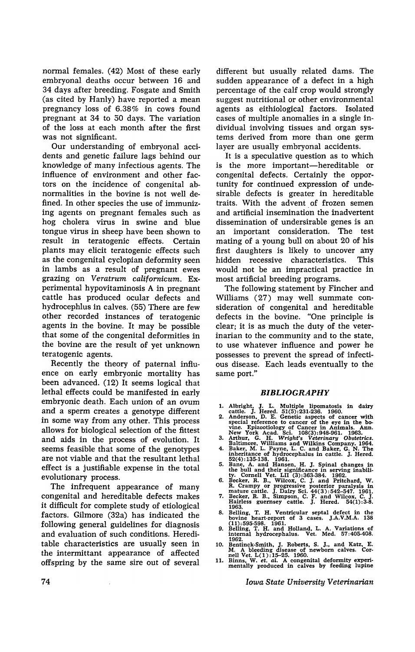normal females. (42) Most of these early embryonal deaths occur between 16 and 34 days after breeding. Fosgate and Smith (as cited by Hanly) have reported a mean pregnancy loss of 6.38% in cows found pregnant at 34 to 50 days. The variation of the loss at each month after the first was not significant.

Our understanding of embryonal accidents and genetic failure lags behind our knowledge of many infectious agents. The influence of environment and other factors on the incidence of congenital abnormalities in the bovine is not well defined. In other species the use of immunizing agents on pregnant females such as hog cholera virus in swine and blue tongue virus in sheep have been shown to result in teratogenic effects. Certain plants may elicit teratogenic effects such as the congenital cyclopian defonnity seen in lambs as a result of pregnant ewes grazing on *Veratrum californicum.* Experimental hypovitaminosis A in pregnant cattle has produced ocular defects and hydrocephlus in calves. (55) There are few other recorded instances of teratogenic agents in the bovine. It may be possible that some of the congenital deformities in the bovine are the result of yet unknown teratogenic agents.

Recently the theory of paternal influence on early embryonic mortality has been advanced. (12) It seems logical that lethal effects could be manifested in early embryonic death. Each union of an ovum and a sperm creates a genotype different in some way from any other. This process allows for biological selection of the fittest and aids in the process of evolution. It seems feasible that some of the genotypes are not viable and that the resultant lethal effect is a justifiable expense in the total evolutionary process.

The infrequent appearance of many congenital and hereditable defects makes it difficult for complete study of etiological factors. Gilmore (32a) has indicated the following general guidelines for diagnosis and evaluation of such conditions. Hereditable characteristics are usually seen in the intermittant appearance of affected offspring by the same sire out of several different but usually related dams. The sudden appearance of a defect in a high percentage of the calf crop would strongly suggest nutritional or other environmental agents as eithiological factors. Isolated cases of multiple anomalies in a single individual involving tissues and organ systems derived from more than one germ layer are usually embryonal accidents.

It is a speculative question as to which is the more important-hereditable or congenital defects. Certainly the opportunity for continued expression of undesirable defects is greater in hereditable traits. With the advent of frozen semen and artificial insemination the inadvertent dissemination of undersirable genes is an an important consideration. The test mating of a young bull on about 20 of his first daughters is likely to uncover any hidden recessive characteristics. This would not be an impractical practice in most artificial breeding programs.

The following statement by Fincher and Williams (27) may well summate consideration of congenital and hereditable defects in the bovine. "One principle is clear; it is as much the duty of the veterinarian to the community and to the state, to use whatever influence and power he possesses to prevent the spread of infectious disease. Each leads eventually to the same port."

#### *BIBLIOGRAPHY*

- 
- 1. Albright, J. L. Multiple lipomatosis in dairy<br>cattle. J. Hered. 51(5):231-236. 1960.<br>2. Anderson, D. E. Genetic aspects of cancer with<br>special reference to cancer of the eye in the bo-<br>vine. Epizootiology of Cancer in A
- 
- 
- 
- 
- 
- 8. Belling, T. H. Ventricular septal defect in the bovine heart-report of 3 cases. J.A.V.M.A. 138 (11):595-598. 1961. 9. Belling. T. H. and Holland. L. A. Variations of internal hydrocephalus. Vet. Med. 57:405408.
- 
- 1962.<br>
10. Bentinck-Smith, J. Roberts, S. J., and Katz, E.<br>
M. A bleeding disease of newborn calves. Cornell Vet.  $L(1):15-25$ . 1960.<br>
11. Binns, W. et. al. A congenital deformity experi-<br>
mentally produced in calves by fe
- 

*Iowa State University Veterinarian*